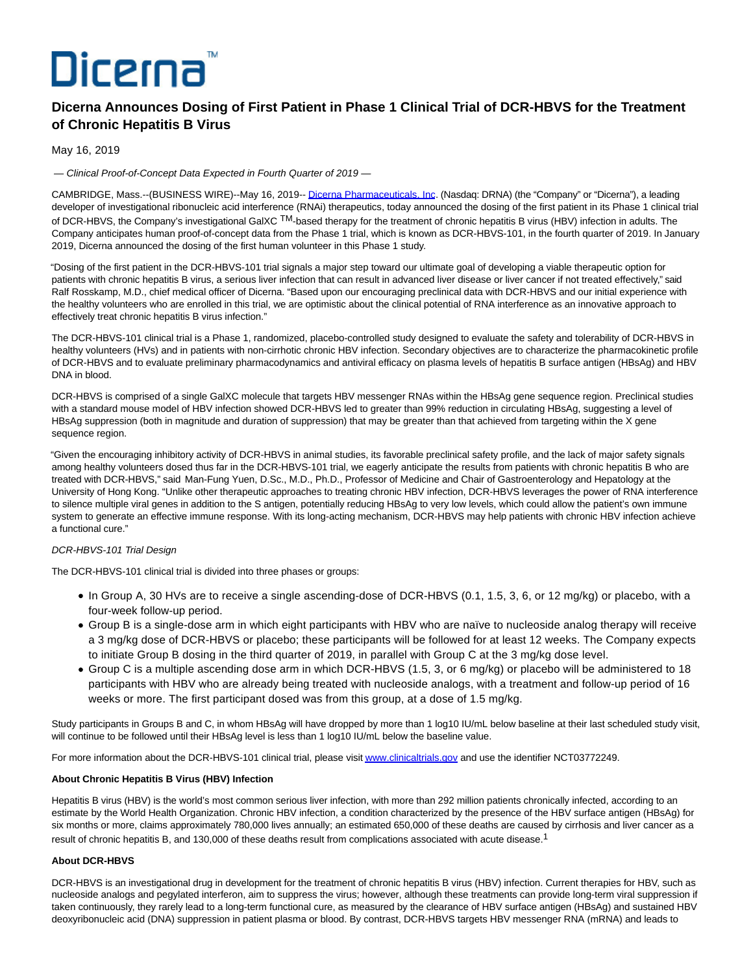# Dicerna

## **Dicerna Announces Dosing of First Patient in Phase 1 Clinical Trial of DCR-HBVS for the Treatment of Chronic Hepatitis B Virus**

May 16, 2019

— Clinical Proof-of-Concept Data Expected in Fourth Quarter of 2019 —

CAMBRIDGE, Mass.--(BUSINESS WIRE)--May 16, 2019-- [Dicerna Pharmaceuticals, Inc.](https://cts.businesswire.com/ct/CT?id=smartlink&url=http%3A%2F%2Fwww.dicerna.com&esheet=51985573&newsitemid=20190516005292&lan=en-US&anchor=Dicerna+Pharmaceuticals%2C+Inc&index=1&md5=aee61c8056e7628d39e98c0a4d82392d) (Nasdaq: DRNA) (the "Company" or "Dicerna"), a leading developer of investigational ribonucleic acid interference (RNAi) therapeutics, today announced the dosing of the first patient in its Phase 1 clinical trial of DCR-HBVS, the Company's investigational GalXC TM-based therapy for the treatment of chronic hepatitis B virus (HBV) infection in adults. The Company anticipates human proof-of-concept data from the Phase 1 trial, which is known as DCR-HBVS-101, in the fourth quarter of 2019. In January 2019, Dicerna announced the dosing of the first human volunteer in this Phase 1 study.

"Dosing of the first patient in the DCR-HBVS-101 trial signals a major step toward our ultimate goal of developing a viable therapeutic option for patients with chronic hepatitis B virus, a serious liver infection that can result in advanced liver disease or liver cancer if not treated effectively," said Ralf Rosskamp, M.D., chief medical officer of Dicerna. "Based upon our encouraging preclinical data with DCR-HBVS and our initial experience with the healthy volunteers who are enrolled in this trial, we are optimistic about the clinical potential of RNA interference as an innovative approach to effectively treat chronic hepatitis B virus infection."

The DCR-HBVS-101 clinical trial is a Phase 1, randomized, placebo-controlled study designed to evaluate the safety and tolerability of DCR-HBVS in healthy volunteers (HVs) and in patients with non-cirrhotic chronic HBV infection. Secondary objectives are to characterize the pharmacokinetic profile of DCR-HBVS and to evaluate preliminary pharmacodynamics and antiviral efficacy on plasma levels of hepatitis B surface antigen (HBsAg) and HBV DNA in blood.

DCR-HBVS is comprised of a single GalXC molecule that targets HBV messenger RNAs within the HBsAg gene sequence region. Preclinical studies with a standard mouse model of HBV infection showed DCR-HBVS led to greater than 99% reduction in circulating HBsAg, suggesting a level of HBsAg suppression (both in magnitude and duration of suppression) that may be greater than that achieved from targeting within the X gene sequence region.

"Given the encouraging inhibitory activity of DCR-HBVS in animal studies, its favorable preclinical safety profile, and the lack of major safety signals among healthy volunteers dosed thus far in the DCR-HBVS-101 trial, we eagerly anticipate the results from patients with chronic hepatitis B who are treated with DCR-HBVS," said Man-Fung Yuen, D.Sc., M.D., Ph.D., Professor of Medicine and Chair of Gastroenterology and Hepatology at the University of Hong Kong. "Unlike other therapeutic approaches to treating chronic HBV infection, DCR-HBVS leverages the power of RNA interference to silence multiple viral genes in addition to the S antigen, potentially reducing HBsAg to very low levels, which could allow the patient's own immune system to generate an effective immune response. With its long-acting mechanism, DCR-HBVS may help patients with chronic HBV infection achieve a functional cure."

### DCR-HBVS-101 Trial Design

The DCR-HBVS-101 clinical trial is divided into three phases or groups:

- In Group A, 30 HVs are to receive a single ascending-dose of DCR-HBVS (0.1, 1.5, 3, 6, or 12 mg/kg) or placebo, with a four-week follow-up period.
- Group B is a single-dose arm in which eight participants with HBV who are naïve to nucleoside analog therapy will receive a 3 mg/kg dose of DCR-HBVS or placebo; these participants will be followed for at least 12 weeks. The Company expects to initiate Group B dosing in the third quarter of 2019, in parallel with Group C at the 3 mg/kg dose level.
- Group C is a multiple ascending dose arm in which DCR-HBVS (1.5, 3, or 6 mg/kg) or placebo will be administered to 18 participants with HBV who are already being treated with nucleoside analogs, with a treatment and follow-up period of 16 weeks or more. The first participant dosed was from this group, at a dose of 1.5 mg/kg.

Study participants in Groups B and C, in whom HBsAg will have dropped by more than 1 log10 IU/mL below baseline at their last scheduled study visit, will continue to be followed until their HBsAg level is less than 1 log10 IU/mL below the baseline value.

For more information about the DCR-HBVS-101 clinical trial, please visi[t www.clinicaltrials.gov a](https://cts.businesswire.com/ct/CT?id=smartlink&url=http%3A%2F%2Fwww.clinicaltrials.gov&esheet=51985573&newsitemid=20190516005292&lan=en-US&anchor=www.clinicaltrials.gov&index=2&md5=ea21423935151c4ece3184e86b0e44e7)nd use the identifier NCT03772249.

#### **About Chronic Hepatitis B Virus (HBV) Infection**

Hepatitis B virus (HBV) is the world's most common serious liver infection, with more than 292 million patients chronically infected, according to an estimate by the World Health Organization. Chronic HBV infection, a condition characterized by the presence of the HBV surface antigen (HBsAg) for six months or more, claims approximately 780,000 lives annually; an estimated 650,000 of these deaths are caused by cirrhosis and liver cancer as a result of chronic hepatitis B, and 130,000 of these deaths result from complications associated with acute disease.<sup>1</sup>

#### **About DCR-HBVS**

DCR-HBVS is an investigational drug in development for the treatment of chronic hepatitis B virus (HBV) infection. Current therapies for HBV, such as nucleoside analogs and pegylated interferon, aim to suppress the virus; however, although these treatments can provide long-term viral suppression if taken continuously, they rarely lead to a long-term functional cure, as measured by the clearance of HBV surface antigen (HBsAg) and sustained HBV deoxyribonucleic acid (DNA) suppression in patient plasma or blood. By contrast, DCR-HBVS targets HBV messenger RNA (mRNA) and leads to